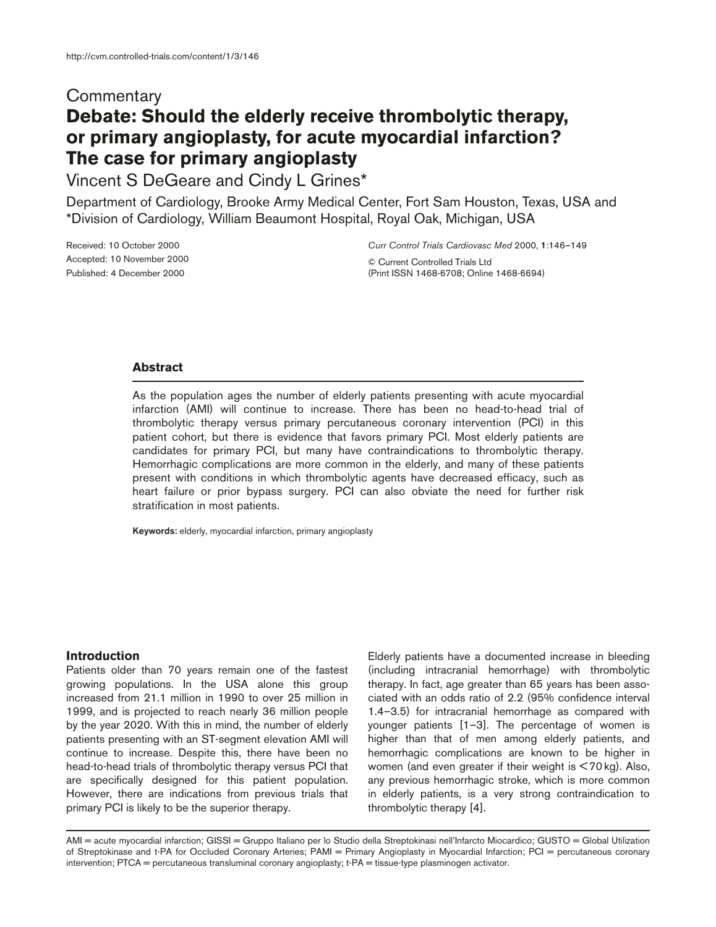# **Commentary Debate: Should the elderly receive thrombolytic therapy, or primary angioplasty, for acute myocardial infarction? The case for primary angioplasty**

Vincent S DeGeare and Cindy L Grines\*

Department of Cardiology, Brooke Army Medical Center, Fort Sam Houston, Texas, USA and \*Division of Cardiology, William Beaumont Hospital, Royal Oak, Michigan, USA

Received: 10 October 2000 Accepted: 10 November 2000 Published: 4 December 2000

*Curr Control Trials Cardiovasc Med* 2000, **1**:146–149

© Current Controlled Trials Ltd (Print ISSN 1468-6708; Online 1468-6694)

## **Abstract**

As the population ages the number of elderly patients presenting with acute myocardial infarction (AMI) will continue to increase. There has been no head-to-head trial of thrombolytic therapy versus primary percutaneous coronary intervention (PCI) in this patient cohort, but there is evidence that favors primary PCI. Most elderly patients are candidates for primary PCI, but many have contraindications to thrombolytic therapy. Hemorrhagic complications are more common in the elderly, and many of these patients present with conditions in which thrombolytic agents have decreased efficacy, such as heart failure or prior bypass surgery. PCI can also obviate the need for further risk stratification in most patients.

**Keywords:** elderly, myocardial infarction, primary angioplasty

## **Introduction**

Patients older than 70 years remain one of the fastest growing populations. In the USA alone this group increased from 21.1 million in 1990 to over 25 million in 1999, and is projected to reach nearly 36 million people by the year 2020. With this in mind, the number of elderly patients presenting with an ST-segment elevation AMI will continue to increase. Despite this, there have been no head-to-head trials of thrombolytic therapy versus PCI that are specifically designed for this patient population. However, there are indications from previous trials that primary PCI is likely to be the superior therapy.

Elderly patients have a documented increase in bleeding (including intracranial hemorrhage) with thrombolytic therapy. In fact, age greater than 65 years has been associated with an odds ratio of 2.2 (95% confidence interval 1.4–3.5) for intracranial hemorrhage as compared with younger patients [1–3]. The percentage of women is higher than that of men among elderly patients, and hemorrhagic complications are known to be higher in women (and even greater if their weight is  $\leq 70$  kg). Also, any previous hemorrhagic stroke, which is more common in elderly patients, is a very strong contraindication to thrombolytic therapy [4].

AMI = acute myocardial infarction; GISSI = Gruppo Italiano per lo Studio della Streptokinasi nell'Infarcto Miocardico; GUSTO = Global Utilization of Streptokinase and t-PA for Occluded Coronary Arteries; PAMI = Primary Angioplasty in Myocardial Infarction; PCI = percutaneous coronary intervention; PTCA = percutaneous transluminal coronary angioplasty; t-PA = tissue-type plasminogen activator.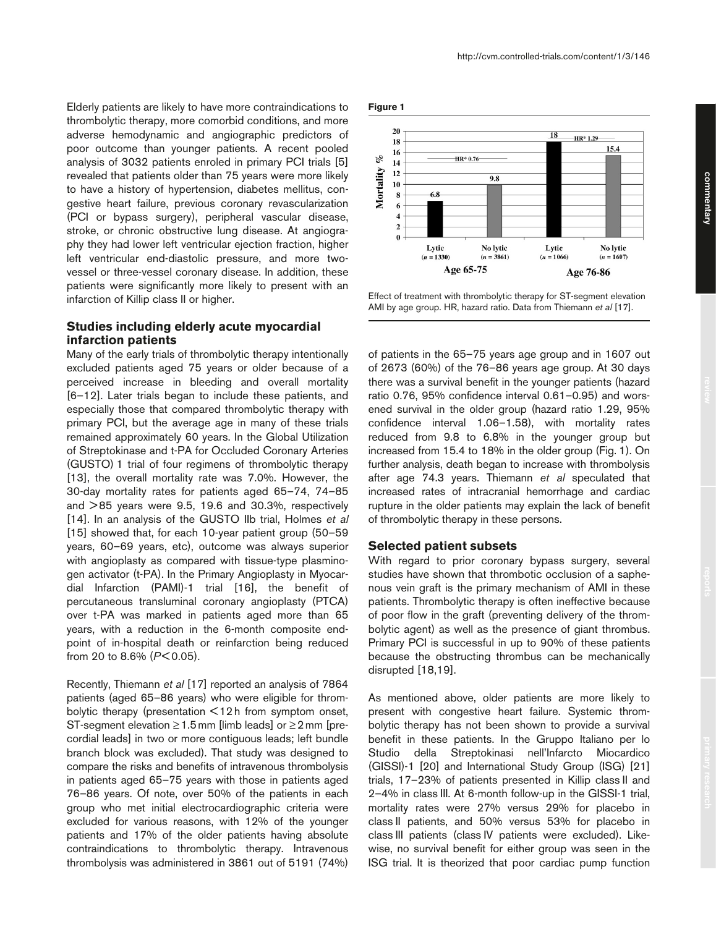Elderly patients are likely to have more contraindications to thrombolytic therapy, more comorbid conditions, and more adverse hemodynamic and angiographic predictors of poor outcome than younger patients. A recent pooled analysis of 3032 patients enroled in primary PCI trials [5] revealed that patients older than 75 years were more likely to have a history of hypertension, diabetes mellitus, congestive heart failure, previous coronary revascularization (PCI or bypass surgery), peripheral vascular disease, stroke, or chronic obstructive lung disease. At angiography they had lower left ventricular ejection fraction, higher left ventricular end-diastolic pressure, and more twovessel or three-vessel coronary disease. In addition, these patients were significantly more likely to present with an infarction of Killip class II or higher.

## **Studies including elderly acute myocardial infarction patients**

Many of the early trials of thrombolytic therapy intentionally excluded patients aged 75 years or older because of a perceived increase in bleeding and overall mortality [6–12]. Later trials began to include these patients, and especially those that compared thrombolytic therapy with primary PCI, but the average age in many of these trials remained approximately 60 years. In the Global Utilization of Streptokinase and t-PA for Occluded Coronary Arteries (GUSTO) 1 trial of four regimens of thrombolytic therapy [13], the overall mortality rate was 7.0%. However, the 30-day mortality rates for patients aged 65–74, 74–85 and  $>85$  years were 9.5, 19.6 and 30.3%, respectively [14]. In an analysis of the GUSTO IIb trial, Holmes *et al* [15] showed that, for each 10-year patient group (50–59 years, 60–69 years, etc), outcome was always superior with angioplasty as compared with tissue-type plasminogen activator (t-PA). In the Primary Angioplasty in Myocardial Infarction (PAMI)-1 trial [16], the benefit of percutaneous transluminal coronary angioplasty (PTCA) over t-PA was marked in patients aged more than 65 years, with a reduction in the 6-month composite endpoint of in-hospital death or reinfarction being reduced from 20 to 8.6% (*P*< 0.05).

Recently, Thiemann *et al* [17] reported an analysis of 7864 patients (aged 65–86 years) who were eligible for thrombolytic therapy (presentation <12h from symptom onset, ST-segment elevation  $\geq 1.5$  mm [limb leads] or  $\geq 2$  mm [precordial leads] in two or more contiguous leads; left bundle branch block was excluded). That study was designed to compare the risks and benefits of intravenous thrombolysis in patients aged 65–75 years with those in patients aged 76–86 years. Of note, over 50% of the patients in each group who met initial electrocardiographic criteria were excluded for various reasons, with 12% of the younger patients and 17% of the older patients having absolute contraindications to thrombolytic therapy. Intravenous thrombolysis was administered in 3861 out of 5191 (74%)





Effect of treatment with thrombolytic therapy for ST-segment elevation AMI by age group. HR, hazard ratio. Data from Thiemann *et al* [17].

of patients in the 65–75 years age group and in 1607 out of 2673 (60%) of the 76–86 years age group. At 30 days there was a survival benefit in the younger patients (hazard ratio 0.76, 95% confidence interval 0.61–0.95) and worsened survival in the older group (hazard ratio 1.29, 95% confidence interval 1.06–1.58), with mortality rates reduced from 9.8 to 6.8% in the younger group but increased from 15.4 to 18% in the older group (Fig. 1). On further analysis, death began to increase with thrombolysis after age 74.3 years. Thiemann *et al* speculated that increased rates of intracranial hemorrhage and cardiac rupture in the older patients may explain the lack of benefit of thrombolytic therapy in these persons.

### **Selected patient subsets**

With regard to prior coronary bypass surgery, several studies have shown that thrombotic occlusion of a saphenous vein graft is the primary mechanism of AMI in these patients. Thrombolytic therapy is often ineffective because of poor flow in the graft (preventing delivery of the thrombolytic agent) as well as the presence of giant thrombus. Primary PCI is successful in up to 90% of these patients because the obstructing thrombus can be mechanically disrupted [18,19].

As mentioned above, older patients are more likely to present with congestive heart failure. Systemic thrombolytic therapy has not been shown to provide a survival benefit in these patients. In the Gruppo Italiano per lo Studio della Streptokinasi nell'Infarcto Miocardico (GISSI)-1 [20] and International Study Group (ISG) [21] trials, 17–23% of patients presented in Killip class II and 2–4% in class III. At 6-month follow-up in the GISSI-1 trial, mortality rates were 27% versus 29% for placebo in class II patients, and 50% versus 53% for placebo in class III patients (class IV patients were excluded). Likewise, no survival benefit for either group was seen in the ISG trial. It is theorized that poor cardiac pump function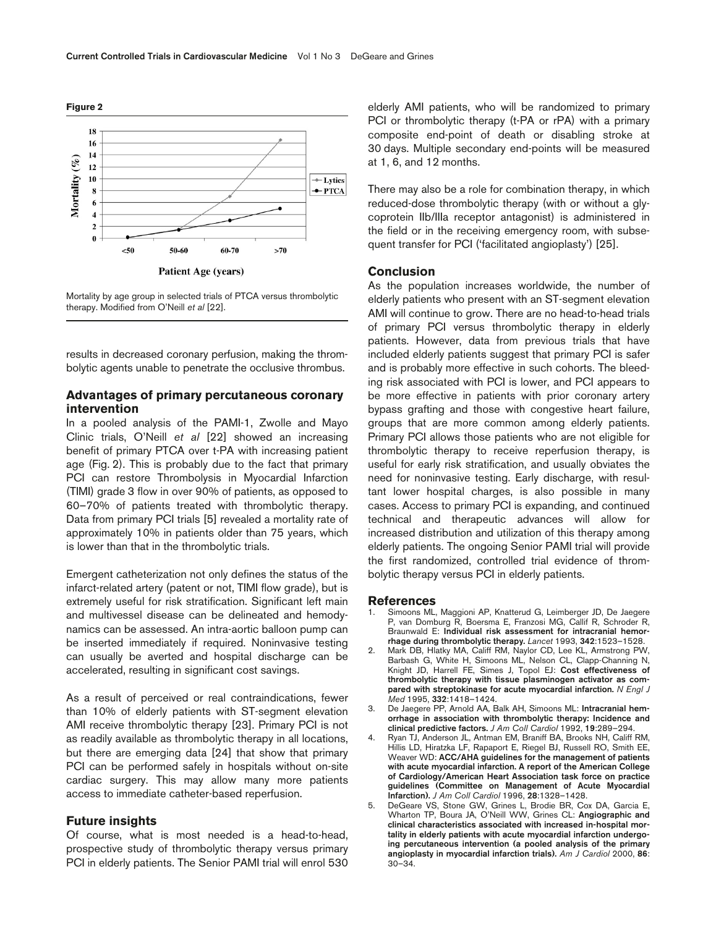

Mortality by age group in selected trials of PTCA versus thrombolytic therapy. Modified from O'Neill *et al* [22].

results in decreased coronary perfusion, making the thrombolytic agents unable to penetrate the occlusive thrombus.

## **Advantages of primary percutaneous coronary intervention**

In a pooled analysis of the PAMI-1, Zwolle and Mayo Clinic trials, O'Neill *et al* [22] showed an increasing benefit of primary PTCA over t-PA with increasing patient age (Fig. 2). This is probably due to the fact that primary PCI can restore Thrombolysis in Myocardial Infarction (TIMI) grade 3 flow in over 90% of patients, as opposed to 60–70% of patients treated with thrombolytic therapy. Data from primary PCI trials [5] revealed a mortality rate of approximately 10% in patients older than 75 years, which is lower than that in the thrombolytic trials.

Emergent catheterization not only defines the status of the infarct-related artery (patent or not, TIMI flow grade), but is extremely useful for risk stratification. Significant left main and multivessel disease can be delineated and hemodynamics can be assessed. An intra-aortic balloon pump can be inserted immediately if required. Noninvasive testing can usually be averted and hospital discharge can be accelerated, resulting in significant cost savings.

As a result of perceived or real contraindications, fewer than 10% of elderly patients with ST-segment elevation AMI receive thrombolytic therapy [23]. Primary PCI is not as readily available as thrombolytic therapy in all locations, but there are emerging data [24] that show that primary PCI can be performed safely in hospitals without on-site cardiac surgery. This may allow many more patients access to immediate catheter-based reperfusion.

## **Future insights**

Of course, what is most needed is a head-to-head, prospective study of thrombolytic therapy versus primary PCI in elderly patients. The Senior PAMI trial will enrol 530 elderly AMI patients, who will be randomized to primary PCI or thrombolytic therapy (t-PA or rPA) with a primary composite end-point of death or disabling stroke at 30 days. Multiple secondary end-points will be measured at 1, 6, and 12 months.

There may also be a role for combination therapy, in which reduced-dose thrombolytic therapy (with or without a glycoprotein IIb/IIIa receptor antagonist) is administered in the field or in the receiving emergency room, with subsequent transfer for PCI ('facilitated angioplasty') [25].

#### **Conclusion**

As the population increases worldwide, the number of elderly patients who present with an ST-segment elevation AMI will continue to grow. There are no head-to-head trials of primary PCI versus thrombolytic therapy in elderly patients. However, data from previous trials that have included elderly patients suggest that primary PCI is safer and is probably more effective in such cohorts. The bleeding risk associated with PCI is lower, and PCI appears to be more effective in patients with prior coronary artery bypass grafting and those with congestive heart failure, groups that are more common among elderly patients. Primary PCI allows those patients who are not eligible for thrombolytic therapy to receive reperfusion therapy, is useful for early risk stratification, and usually obviates the need for noninvasive testing. Early discharge, with resultant lower hospital charges, is also possible in many cases. Access to primary PCI is expanding, and continued technical and therapeutic advances will allow for increased distribution and utilization of this therapy among elderly patients. The ongoing Senior PAMI trial will provide the first randomized, controlled trial evidence of thrombolytic therapy versus PCI in elderly patients.

#### **References**

- 1. Simoons ML, Maggioni AP, Knatterud G, Leimberger JD, De Jaegere P, van Domburg R, Boersma E, Franzosi MG, Callif R, Schroder R, Braunwald E: **Individual risk assessment for intracranial hemorrhage during thrombolytic therapy.** *Lancet* 1993, **342**:1523–1528.
- 2. Mark DB, Hlatky MA, Califf RM, Naylor CD, Lee KL, Armstrong PW, Barbash G, White H, Simoons ML, Nelson CL, Clapp-Channing N, Knight JD, Harrell FE, Simes J, Topol EJ: **Cost effectiveness of thrombolytic therapy with tissue plasminogen activator as compared with streptokinase for acute myocardial infarction.** *N Engl J Med* 1995, **332**:1418–1424.
- 3. De Jaegere PP, Arnold AA, Balk AH, Simoons ML: **Intracranial hemorrhage in association with thrombolytic therapy: Incidence and clinical predictive factors.** *J Am Coll Cardiol* 1992, **19**:289–294.
- 4. Ryan TJ, Anderson JL, Antman EM, Braniff BA, Brooks NH, Califf RM, Hillis LD, Hiratzka LF, Rapaport E, Riegel BJ, Russell RO, Smith EE, Weaver WD: **ACC/AHA guidelines for the management of patients with acute myocardial infarction. A report of the American College of Cardiology/American Heart Association task force on practice guidelines (Committee on Management of Acute Myocardial Infarction).** *J Am Coll Cardiol* 1996, **28**:1328–1428.
- 5. DeGeare VS, Stone GW, Grines L, Brodie BR, Cox DA, Garcia E, Wharton TP, Boura JA, O'Neill WW, Grines CL: **Angiographic and clinical characteristics associated with increased in-hospital mortality in elderly patients with acute myocardial infarction undergoing percutaneous intervention (a pooled analysis of the primary angioplasty in myocardial infarction trials).** *Am J Cardiol* 2000, **86**: 30–34.